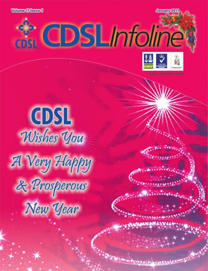**Volume 11 Issue 1** 

**S. CDSLInfoline** 



*Programme adjustment* 

CDSL Wishes You A Very Happy & Prosperous New Year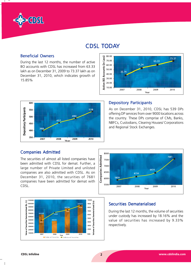

## CDSL TODAY

### **Beneficial Owners**

During the last 12 months, the number of active BO accounts with CDSL has increased from 63.33 lakh as on December 31, 2009 to 73.37 lakh as on December 31, 2010, which indicates growth of 15.85%





### **Depository Participants**

As on December 31, 2010, CDSL has 539 DPs offering DP services from over 9000 locations across the country. These DPs comprise of CMs, Banks, NBFCs, Custodians, Clearing Houses/ Corporations and Regional Stock Exchanges.

### Companies Admitted

The securities of almost all listed companies have been admitted with CDSL for demat. Further, a large number of Private Limited and unlisted companies are also admitted with CDSL. As on December 31, 2010, the securities of 7681 companies have been admitted for demat with CDSL.





### Securities Dematerialised

During the last 12 months, the volume of securities under custody has increased by 18.16% and the value of securities has increased by 9.33% respectively.

 $\overline{\phantom{a}}$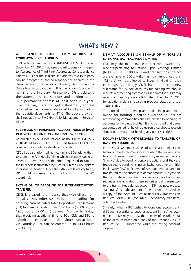

## WHAT's NEW?

### ACCEPTANCE OF THIRD PARTY ADDRESS AS CORRESPONDENCE ADDRESS

SEBI vide its circular no. CIR/IMD/DF/37/2010 dated December 14, 2010, has issued clarifications with regard to 'Acceptance of Third Party Address as Correspondence Address'. As per the said circular, address of a third party can be accepted as the correspondence address in the demat account of a Beneficial Owner (BO), provided the Depository Participant (DP) fulfills the 'Know Your Client' norms for the third party. Furthermore, DPs should send the statement of transactions and holding to the BO's permanent address at least once in a year. Investors can, therefore, get a third party address recorded as their correspondence address by submitting the requisite documents for KYC. The above provision shall not apply to PMS (Portfolio Management Services) clients.

### SUBMISSION OF PERMANENT ACCOUNT NUMBER [PAN] IN RESPECT OF PAN NON-COMPLIANT ACCOUNTS

As directed by SEBI vide its circular no. CIR/MRD/DP/22/ 2010 dated July 29, 2010, CDSL had frozen all PAN non compliant accounts for debits and credits.

CDSL has also informed non-compliant BOs asking them to submit the PAN details failing which a penalty would be levied on them. DPs are, therefore, requested to capture the PAN details submitted by such BOs in the CDSL system after due verification. Once the PAN details are captured, DP should unfreeze the account and inform the BO accordingly.

### EXTENSION OF DEADLINE FOR INTER-DEPOSITORY **TRANSFFR**

CDSL is pleased to announce that with effect from Tuesday, November 02, 2010, the deadline for entering current dated Inter-Depository Transactions (IDT) has been extended from 1800 hours (06.00 pm) to 1900 hours (07.00 pm) between Monday to Friday, thus providing additional time to BOs, CMs and DPs to submit and execute inter-depository transactions. On Saturdays, IDT can be entered up to 1430 hours (02.30 pm).

### DEMAT ACCOUNTS ON BEHALF OF MINORS AT NATIONAL SPOT EXCHANGE LIMITED

Currently, the maintenance of electronic warehouse receipts pertaining to National Spot Exchange Limited [NSEL – DPID 11000026] and transactions thereof are available in CDSL. NSEL has now announced that "Minors" will be allowed to invest in Gold on their exchange. Accordingly, CDSL has introduced a new sub-status for 'Minor' accounts for holding warehouse receipts representing commodities in demat form. DPs may refer to communiqué no. 2165 dated November 4, 2010 for additional details regarding product, status and substatus codes.

The procedure for opening and maintaining account of minor for holding electronic warehouse receipts representing commodities shall be similar to opening of accounts for holding securities. It is to be noted that demat accounts opened for holding electronic warehouse receipts should not be used for holding any other securities.

### DOCUMENTATION WITH REGARDS TO TRANSFER OF INACTIVE SECURITIES

In the CDSL system, securities of a deceased holder can be transmitted to his/her successor using the transmission facility. However, during transmission, securities that are 'Inactive' due to pending corporate actions or if they are frozen due to pending listing on Exchanges after an Initial Public Offer (IPO) or Scheme of Arrangement etc. are not transferred to the successor's demat account. Only when the corporate actions are processed or when the frozen securities are activated, these securities get transmitted to the transmittee's demat account. DP may now process such transfers to the account of the transmittee based on a copy of the Account Closure Request / Transmission Request Form / DIS (for Inter – depository transfers) submitted earlier.

Similarly, when a BO wishes to close one account and shift such securities to another account in his / her own name, the DP may process the transfer of securities out of the account based on a copy of the Account Closure Request or DIS submitted while requesting account closure.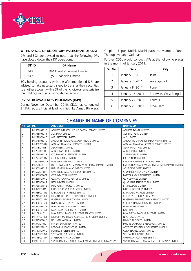

### WITHDRAWAL OF DEPOSITORY PARTICIPANT OF CDSL

DPs and BOs are advised to note that the following DPs have closed down their DP operations.

| DP ID | DP Name                              |  |
|-------|--------------------------------------|--|
| 24800 | <b>IKM Investor Services Limited</b> |  |
| 54900 | <b>BgSE Financials Limited</b>       |  |

BOs holding accounts with the aforementioned DPs are advised to take necessary steps to transfer their securities to another account with a DP of their choice or rematerialize the holdings in their existing demat account/s.

### INVESTOR AWARENESS PROGRAMS (IAPs)

During November-December 2010, CDSL has conducted 31 IAPs across India at leading cities like Ajmer, Bhilwara, Chiplun, Jaipur, Kochi, Machilipatnam, Mumbai, Pune, Thodupuzha and Vadodara.

Further, CDSL would conduct IAPs at the following places in the month of January 2011:

| Sr. No.       | Date             | City                 |  |
|---------------|------------------|----------------------|--|
| 1             | January 1, 2011  | Jalna                |  |
| $\mathcal{L}$ | January 2, 2011  | Aurangabad           |  |
| 3             | January 8, 2011  | Pune                 |  |
| 4             | January 16, 2011 | Burdwan, West Bengal |  |
| 5             | January 22, 2011 | Thrissur             |  |
| 6             | January 29, 2011 | Ernakulam            |  |

| SR. NO. ISIN   |              | <b>OLD NAME</b>                                       | <b>NEW NAME</b>                                    |
|----------------|--------------|-------------------------------------------------------|----------------------------------------------------|
| $\mathbf{1}$   | INE539L01016 | ABHIJEET INFRASTRUCTURE CAPITAL PRIVATE LIMITED       | ABHIJEET POWER LIMITED                             |
| $\overline{2}$ | INE715F01014 | ACE INDIA LIMITED                                     | ACE EDUTREND LIMITED                               |
| 3              | INE229B01015 | AJEL INFOTECH LIMITED                                 | AJEL LIMITED                                       |
| 4              | INE548F01019 | AMCOR PET PACKAGING ASIA PRIVATE LIMITED              | AMCOR RIGID PLASTICS INDIA PRIVATE LIMITED         |
| 5              | INE808K01017 | AROHAN FINANCIAL SERVICES LIMITED                     | AROHAN FINANCIAL SERVICES PRIVATE LIMITED          |
| 6              | INE745I01015 | ASAHI FIBRES LIMITED                                  | ASAHI INDUSTRIES LIMITED                           |
| $\overline{7}$ | INE207D01017 | AUNDE FAZE THREE LIMITED                              | AUNDE INDIA LIMITED                                |
| 8              | INE099F01013 | CAT FINANCIAL SERVICES LIMITED                        | SREELEATHERS LIMITED                               |
| 9              | INE773A01014 | CEEKAY DAIKIN LIMITED                                 | EXEDY INDIA LIMITED                                |
| 10             | INE989B01014 | DAGGER-FORST TOOLS LIMITED                            | BIRLA MACHINING & TOOLINGS LIMITED                 |
| 11             | INF251K01118 | FORTIS INVESTMENT MANAGEMENT (INDIA) PRIVATE LIMITED  | BNP PARIBAS ASSET MANAGEMENT INDIA PRIVATE LIMITED |
| 12             | INE360L01017 | FUTURE MALL MANAGEMENT LIMITED                        | AGRE DEVELOPERS LIMITED                            |
| 13             | INE592I01011 | GMR FERRO ALLOYS & INDUSTRIES LIMITED                 | CRONIMET ALLOYS INDIA LIMITED                      |
| 14             | INE353B01021 | <b>GMR INDUSTRIES LIMITED</b>                         | PARRYS SUGAR INDUSTRIES LIMITED                    |
| 15             | INE236B01010 | <b>GUJARAT CAPITAL VENTURES LIMITED</b>               | <b>GCV SERVICES LIMITED</b>                        |
| 16             | INE527B01012 | HFCL INFOTEL LIMITED                                  | QUADRANT TELEVENTURES LIMITED                      |
| 17             | INE786E01018 | <b>INDO GREEN PROJECTS LIMITED</b>                    | <b>IITL PROJECTS LIMITED</b>                       |
| 18             | INE071I01016 | INDOFIL ORGANIC INDUSTRIES LIMITED                    | INDOFIL INDUSTRIES LIMITED                         |
| 19             | INE535C01013 | KAMADGIRI SYNTHETICS LIMITED                          | KAMADGIRI FASHION LIMITED                          |
| 20             | INE218A01028 | KRISHNA LIFESTYLE TECHNOLOGIES LIMITED                | K-LIFESTYLE & INDUSTRIES LIMITED                   |
| 21             | INE573C01014 | LEASEMEN FIN-INVEST (INDIA) LIMITED                   | LEASEMEN FIN-INVEST INDIA PRIVATE LIMITED          |
| 22             | INE426G01016 | LIVINGROOM LIFESTYLE LIMITED                          | CHISEL & HAMMER (MOBEL) LIMITED                    |
| 23             | INE672L01015 | LOKMAT MEDIA PRIVATE LIMITED                          | LOKMAT MEDIA LIMITED                               |
| 24             | INE490G01020 | MANGANESE ORE (INDIA) LIMITED                         | MOIL LIMITED                                       |
| 25             | INE109J01012 | MAX FLEX & IMAGING SYSTEMS PRIVATE LIMITED            | MAX FLEX & IMAGING SYSTEMS LIMITED                 |
| 26             | INE141C01028 | MIDPOINT SOFTWARE AND ELECTRO SYSTEMS LIMITED         | NHC FOODS LIMITED                                  |
| 27             | INE875B01015 | NCJ INTERNATIONAL LIMITED                             | NIMBUS PROJECTS LIMITED                            |
| 28             | INE370101012 | PFH ENTERTAINMENT LIMITED                             | FUTURE CORPORATE RESOURCES LIMITED                 |
| 29             | INE810E01016 | PODDAR HERITAGE CORP LIMITED                          | ADVENTZ SECURITIES ENTERPRISES LIMITED             |
| 30             | INE117B01012 | SOFTPRO SYSTEMS LIMITED                               | CURA TECHNOLOGIES LIMITED                          |
| 31             | INE409H01028 | SPECTACLE INDUSTRIES LIMITED                          | SPECTACLE INFOTEK LIMITED                          |
| 32             | INE115C01014 | STRESSCRETE INDIA LIMITED                             | VARDHMAN CONCRETE LIMITED                          |
| 33             | INF903J01181 | SUNDARAM BNP PARIBAS ASSET MANAGEMENT COMPANY LIMITED | SUNDARAM ASSET MANAGEMENT COMPANY LIMITED          |

### CHANGE IN NAME OF COMPANIES

 $\overline{\phantom{a}}$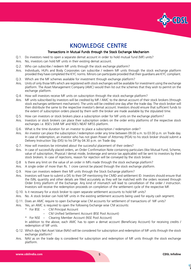

## KNOWLEDGE CENTRE

### Transactions in Mutual Funds through the Stock Exchange Mechanism

- Q.1. Do investors need to open a separate demat account in order to hold mutual fund (MF) units?
- Ans. No, investors can hold MF units in their existing demat account.
- Q.2. Who can subscribe / redeem MF units through the stock exchange platform?
- Ans. Individuals, HUFs and Body Corporates can subscribe / redeem MF units through the stock exchange platform provided they have completed the KYC norms. Minors can participate provided that their guardians are KYC compliant.
- Q.3. Which are the MF schemes available for investment through exchange platform?
- Ans. Units of only those MFs which are registered with stock exchanges will be available for investment using the exchange platform. The Asset Management Company (AMC) would then list out the schemes that they wish to permit on the exchange platform.
- Q.4. How will investors receive MF units on subscription through the stock exchange platform?
- Ans. MF units subscribed by investors will be credited by MF / AMC to the demat account of their stock brokers (through stock exchanges settlement mechanism). The units will be credited one day after the trade day. The stock broker will then distribute the same to the respective investor's demat account. Investors should ensure that sufficient funds to the extent of subscription orders placed by them with the broker are made available by the stipulated time.
- Q.5. How can investors or stock brokers place a subscription order for MF units on the exchange platform?
- Ans. Investors or stock brokers can place their subscription orders on the order entry platforms of the respective stock exchanges i.e. BSE's StAR MF and NSE's NEAT MFSS platform.
- Q.6. What is the time duration for an investor to place a subscription / redemption order?
- Ans. An investor can place the subscription / redemption order any time between 09.00 a.m. to 03.00 p.m. on Trade day. In case of redemption, an investor who has not given Power of Attorney (POA) to his stock broker should submit a Delivery Instruction Slip (DIS) to his DP by 04.30 p.m. on Trade day.
- Q.7. How will investors be intimated about the successful placement of their orders?
- Ans. In case of successfully placed orders, an Order Confirmation Note containing particulars (like Mutual Fund, Scheme, value of subscription, Physical / demat mode, brokerage and service tax applicable) will be sent to investors by their stock brokers. In case of rejections, reason for rejection will be conveyed by the stock broker.
- Q.8 Is there any limit on the value of an order in MFs made through the stock exchange platform?
- Ans. A single order of more than Rs. 1 crore cannot be placed through the stock exchange platform.
- Q.9. How can investors redeem their MF units through the Stock Exchange platform?
- Ans. Investors will have to submit a DIS to their DP mentioning the CMID and settlement ID. Investors should ensure that the ISIN, quantity and other details are filled accurately as they will be matched with the orders received through Order Entry platform of the Exchange. Any kind of mismatch will lead to cancellation of the order / instruction. Investors will receive the redemption proceeds on completion of the settlement cycle of the respective MF.
- Q.10. Is it necessary for a stock broker to open separate settlement accounts to hold MF units?
- Ans. No. A stock broker can hold MF units in the existing settlement accounts being used for equity cash segment.
- Q.11. Does an AMC require to open Exchange wise CM accounts for settlement of transactions of MF units?
- Ans. Yes, an AMC is required to open the following Exchange wise CM accounts:
	- \* For BSE CM Principal Account
		- CM Unified Settlement Account (BSE Pool Account)
	- \* For NSE Clearing Member Account (NSE Pool Account)

In addition to the above, each AMC has to open a demat account (Beneficiary Account) for receiving credits / redemption of MF units.

- Q.12. Which day's Net Asset Value (NAV) will be considered for subscription and redemption of MF units through the stock exchange platform?
- Ans. NAV as on the trade day is considered for subscription and redemption of MF units through the stock exchange platform.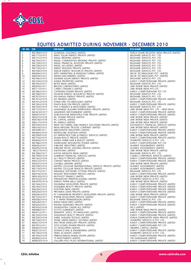

 $\mathbf{r}$ - 13

### EQUITIES ADMITTED DURING NOVEMBER - DECEMBER 2010

| SR. NO.               | <b>ISIN</b>                  | <b>ISIN NAME</b>                                                                   | <b>RTA NAME</b>                                                            |
|-----------------------|------------------------------|------------------------------------------------------------------------------------|----------------------------------------------------------------------------|
| $\mathbf{1}$          | INE786K01015                 | AGARWAL HOLDINGS LIMITED                                                           | PURVA SHARE REGISTRY INDIA PRIVATE LIMITED                                 |
| 2<br>3<br>4<br>5<br>6 | INE771L01015                 | ANAY SOLAR ENERGY PRIVATE LIMITED                                                  | BIGSHARE SERVICES PVT. LTD.                                                |
|                       | INE731L01019                 | ANGEL BROKING LIMITED                                                              | BIGSHARE SERVICES PVT. LTD.                                                |
|                       | INE730L01011                 | ANGEL COMMODITIES BROKING PRIVATE LIMITED                                          | BIGSHARE SERVICES PVT. LTD.                                                |
|                       | INE729L01013<br>INE728L01015 | ANGEL FINANCIAL ADVISORS PRIVATE LIMITED<br>ANGEL SECURITIES LIMITED               | BIGSHARE SERVICES PVT. LTD.<br>BIGSHARE SERVICES PVT. LTD.                 |
| $\overline{7}$        | INE770L01017                 | ANIKET BUILDERS PRIVATE LIMITED                                                    | BIGSHARE SERVICES PVT. LTD.                                                |
| 8                     | INE769L01019                 | ANKUR ENERGY RESOURCES PRIVATE LIMITED                                             | BIGSHARE SERVICES PVT. LTD.                                                |
| 9                     | INE649L01013                 | APPU MARKETING & MANUFACTURING LIMITED                                             | NICHE TECHNOLOGIES PVT. LIMITED                                            |
| 10                    | INE659L01012                 | ARENA MACHINERIES LIMITED                                                          | NICHE TECHNOLOGIES PVT. LIMITED                                            |
| 11                    | INE766L01015                 | ASHWINI SOLAR ENERGY PRIVATE LIMITED                                               | BIGSHARE SERVICES PVT. LTD.                                                |
| 12                    | INE755K01010                 | AVNIJA PROPERTIES LIMITED                                                          | KARVY COMPUTERSHARE PRIVATE LIMITED<br>BIGSHARE SERVICES PVT. LTD.         |
| 13<br>14              | INE765L01017<br>INE650L01011 | <b>BETEX INDIA LIMITED</b><br>BROOKS LABORATORIES LIMITED                          | LINK INTIME INDIA PRIVATE LIMITED                                          |
| 15                    | INE711L01011                 | <b>CARBO CERAMICS LIMITED</b>                                                      | LINK INTIME INDIA PVT LTD                                                  |
| 16                    | INE786L01013                 | CHITRANGI POWER PRIVATE LIMITED                                                    | KARVY COMPUTERSHARE PVT LTD                                                |
| 17                    | INE768L01011                 | DIVAKAR ENERGY RESOURCES PRIVATE LIMITED                                           | BIGSHARE SERVICES PVT. LTD.                                                |
| 18                    | INE767L01013                 |                                                                                    | BIGSHARE SERVICES PVT. LTD.                                                |
| 19                    | INE707L01019                 |                                                                                    | KARVY COMPUTERSHARE PRIVATE LIMITED                                        |
| 20                    | INE741L01018                 |                                                                                    | BIGSHARE SERVICES PVT. LTD.                                                |
| 21                    | INE745L01019                 |                                                                                    | KARVY COMPUTERSHARE PRIVATE LIMITED                                        |
| 22<br>23              | INE750L01019<br>INE772L01013 |                                                                                    | BIGSHARE SERVICES PVT. LTD.<br>LINK INTIME INDIA PVT. LTD. - NEW DELHI     |
| 24                    | INE361K01017                 |                                                                                    | KARVY COMPUTERSHARE PRIVATE LIMITED                                        |
| 25                    | INE647L01017                 |                                                                                    | KARVY COMPUTERSHARE PRIVATE LIMITED                                        |
| 26                    | INE637L01018                 |                                                                                    | LINK INTIME INDIA PRIVATE LIMITED                                          |
| 27                    | INE618L01018                 |                                                                                    | LINK INTIME INDIA PRIVATE LIMITED                                          |
| 28                    | INE617L01010                 |                                                                                    | LINK INTIME INDIA PRIVATE LIMITED                                          |
| 29                    | INE559L01014                 |                                                                                    | DATAMATICS FINANCIAL SERVICES LIMITED                                      |
| 30                    | INE616L01012                 |                                                                                    | LINK INTIME INDIA PRIVATE LIMITED                                          |
| 31                    | INE549101011                 | INNOVENTIVE INDUSTRIES LIMITED                                                     | KARVY COMPUTERSHARE PRIVATE LIMITED                                        |
| 32<br>33              | INE646L01019<br>INE399J01019 | <b>INTERGLOBE AVIATION LIMITED</b><br>IOT INFRASTRUCTURE & ENERGY SERVICES LIMITED | KARVY COMPUTERSHARE PRIVATE LIMITED<br>LINK INTIME INDIA PRIVATE LIMITED   |
| 34                    | INE733L01015                 | ISHANI REALTY PRIVATE LIMITED                                                      | KARVY COMPUTERSHARE PRIVATE LIMITED                                        |
| 35                    | INE664L01012                 | JAWED HABIB HAIR & BEAUTY LIMITED                                                  | SHAREPRO SERVICES (I) PVT. LTD.                                            |
| 36                    | INE788L01019                 | JHARKHAND INTEGRATED POWER LIMITED                                                 | KARVY COMPUTERSHARE PVT LTD                                                |
| 37                    | INE645L01011                 | JUBILANT INDUSTRIES LIMITED                                                        | ALANKIT ASSIGNMENTS LIMITED                                                |
| 38                    | INE695L01016                 | JUBILANT RETAIL HOLDING PRIVATE LIMITED                                            | ALANKIT ASSIGNMENTS LIMITED                                                |
| 39                    | INE227J01012                 | KALPATARU LIMITED                                                                  | LINK INTIME INDIA PRIVATE LIMITED                                          |
| 40                    | INE708L01017                 | KATHA MEDIATIX INDIA LIMITED                                                       | BIGSHARE SERVICES PVT. LTD.                                                |
| 41<br>42              | INE795E01019<br>INE742L01016 | KUMBHAT FINANCIAL SERVICES LIMITED<br>LILY REALTY PRIVATE LIMITED                  | CAMEO CORPORATE SERVICES LIMITED<br>KARVY COMPUTERSHARE PRIVATE LIMITED    |
| 43                    | INE672L01015                 | LOKMAT MEDIA PRIVATE LIMITED                                                       | KARVY COMPUTERSHARE PRIVATE LIMITED                                        |
| 44                    | INE597L01014                 | LOVABLE LINGERIE LIMITED                                                           | LINK INTIME INDIA PRIVATE LIMITED                                          |
| 45                    | INE709L01015                 | MATRIX CELLULAR (INTERNATIONAL) SERVICES PRIVATE LIMITED                           | ALANKIT ASSIGNMENTS LIMITED                                                |
| 46                    | INE710L01013                 | MATRIX CELLULAR SERVICES PRIVATE LIMITED                                           | ALANKIT ASSIGNMENTS LIMITED                                                |
| 47                    | INE727L01017                 | MIMANSA SOFTWARE SYSTEMS PRIVATE LIMITED<br>ED<br>MITED<br>PRI/ATE LIMITED         | BIGSHARE SERVICES PVT. LTD.                                                |
| 48                    | INE619L01016                 | MOZART INVESTMENT PRIVATE LIMITED                                                  | KARVY COMPUTERSHARE PRIVATE LIMITED                                        |
| 49                    | INE414G01012                 | MUTHOOT FINANCE LIMITED                                                            | LINK INTIME INDIA PRIVATE LIMITED                                          |
| 50<br>51              | INE702L01010<br>INE447K01014 | PARAMOUNT PRINTPACKAGING LIMITED<br>PARIJAT PAPER MILLS LIMITED                    | SHAREPRO SERVICES (I) PVT. LTD.<br>LINK INTIME INDIA PRIVATE LIMITED       |
| 52                    | INE744L01012                 | PASHMINA DEVELOPERS PRIVATE LIMITED                                                | KARVY COMPUTERSHARE PRIVATE LIMITED                                        |
| 53                    | INE740L01010                 | PASHMINA REALTY PRIVATE LIMITED                                                    | KARVY COMPUTERSHARE PRIVATE LIMITED                                        |
| 54                    | INE630L01013                 | PLASTENE INDIA LIMITED                                                             | KARVY COMPUTERSHARE PRIVATE LIMITED                                        |
| 55                    | INE620L01014                 | PRIYANKA GEMS PRIVATE LIMITED                                                      | KARVY COMPUTERSHARE PRIVATE LIMITED                                        |
| 56                    | INE636L01010                 | PS CHAMANKAR PROPERTY DEVELOPERS PRIVATE LIMITED                                   | LINK INTIME INDIA PRIVATE LIMITED                                          |
| 57                    | INE732L01017                 | PURABI DEVELOPERS PRIVATE LIMITED                                                  | KARVY COMPUTERSHARE PRIVATE LIMITED                                        |
| 58                    | INE658L01014                 | R. S. INFRA-TRANSMISSION LIMITED                                                   | BIGSHARE SERVICES PVT. LTD.                                                |
| 59<br>60              | INE628L01017<br>INE626L01011 | RAMA MEDICARES LIMITED<br>ROHAN DIAMONDS PRIVATE LIMITED                           | KARVY COMPUTERSHARE PRIVATE LIMITED<br>KARVY COMPUTERSHARE PRIVATE LIMITED |
| 61                    | INE543L01018                 | SAURASHTRA CHEMICALS LIMITED                                                       | MCS LIMITED                                                                |
| 62                    | INE688L01011                 | <b>SCOTTS GARMENTS LIMITED</b>                                                     | LINK INTIME INDIA PRIVTE LIMITED                                           |
| 63                    | INE631L01011                 | SEMANTIC SPACE TECHNOLOGIES LIMITED                                                | KARVY COMPUTERSHARE PRIVATE LIMITED                                        |
| 64                    | INE743L01014                 | SHASHWATI REALTY PRIVATE LIMITED                                                   | KARVY COMPUTERSHARE PRIVATE LIMITED                                        |
| 65                    | INE703L01018                 | SHREE SHALEEN TEXTILES LIMITED                                                     | PURVA SHAREGISTRY INDIA PRIVATE LIMITED                                    |
| 66                    | INE734L01013                 | SPARK GREEN ENERGY (SATARA) LIMITED                                                | SHAREPRO SERVICES (I) PVT. LTD.                                            |
| 67                    | INE627L01019                 | SPECTRUM JEWELLERY PRIVATE LIMITED                                                 | KARVY COMPUTERSHARE PRIVATE LIMITED                                        |
| 68<br>69              | INE787L01011<br>INE662L01016 | TATO HYDRO POWER PRIVATE LIMITED<br>TCI DEVELOPERS LIMITED                         | KARVY COMPUTERSHARE PVT LTD<br>ABHIPRA CAPITAL LIMITED                     |
| 70                    | INE621L01012                 | TEXMACO RAIL & ENGINEERING LIMITED                                                 | KARVY COMPUTERSHARE PRIVATE LIMITED                                        |
| 71                    | INE736L01018                 | TIMES ACADEMY LIMITED                                                              | SHAREPRO SERVICES (I) PVT. LTD.                                            |
| 72                    | INE760L01018                 | TRIBHOVANDAS BHIMJI ZAVERI LIMITED                                                 | KARVY COMPUTERSHARE PRIVATE LIMITED                                        |
| 73                    | INE660L01010                 | TS INVESTMENTS LIMITED                                                             | TSR DARASHAW LIMITED                                                       |
| 74                    | INE862K01014                 | VALLABH POLY PLAST INTERNATIONAL LIMITED                                           | KARVY COMPUTERSHARE PRIVATE LIMITED                                        |

 $\overline{\phantom{a}}$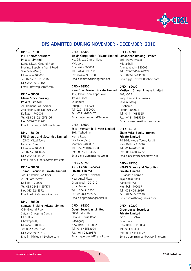

### DPS ADMITTED DURING NOVEMBER - DECEMBER 2010

### DPID – 67900 P P J Shroff Securities Private Limited

Kanta Niwas, Ground Floor B-Wing, Bapubhai Vashi Road Vile Parle (West) Mumbai – 400056 Tel: 022-26101162/163 Fax: 022-26101164 Email: info@ppjshroff.com

### DPID – 68000 Manu Stock Broking Private Limited

21, Hemant Basu Sarani 2nd Floor, Suite No. 201-202 Kolkata – 700001 Tel: 033-22102105/2106 Fax: 033-22311963 Email: manustockb@gmail.com

#### DPID – 68100 FRR Shares and Securities Limited

103-C Mittal Tower Nariman Point Mumbai – 400021 Tel: 022-22813456 Fax: 022-43344223 Email: nitin.lakhotia@frrshares.com

### DPID – 68200

### Thirani Securities Private Limited

Todi Chambers, 4<sup>th</sup> Floor 2, Lal Bazar Street Kolkata - 700001 Tel: 033-22481155/3711 Fax: 033-22483724 Email: admin@tseconline.com

### DPID – 68300

### Samyag Broking Private Limited

C-9, Ground Floor Satyam Shopping Centre M.G. Road, Ghatkopar-(E) Mumbai – 400077 Tel: 022-40971500 Fax: 022-40971510 Email: nikhiludani@yahoo.com

### DPID – 68400 Belair Corporation Private Limited Simandhar Broking Limited No. 94, Luz Church Road

Mylapore Chennai - 600004 Tel: 044-43993700 Fax: 044-43993730 Email: ramesh@belairgroup.net

#### DPID – 68500 Nine Star Broking Private Limited

112, Parvati Shiv Kripa Tower 1st A-B Road Sardapura Jodhpur – 342001 Tel: 0291-5150000 Fax: 0291-2630407 Email: rajeshmundra@9star.in

### DPID – 68600

Excel Mercantile Private Limited 201, Yashodhan Nehru Road Vile Parle (East) Mumbai - 400057 Tel: 022-26104680-81 Fax: 022-26104682 Email: mailadmin@empl.co.in

#### DPID – 68700 ANG Capital Services Private Limited

VC-1, Sector 3, Vaishali Near Ansal Plaza Ghaziabad – 201010 Uttar Pradesh Tel: 120-4710500 Fax: 0120-4710505 Email: angcap@angcapital.in

### DPID – 68800

### Quest Securities Limited 3830, Lal Kothi Pataudi House Road Daryaganj New Delhi – 110002 Tel: 011-43583994 Fax: 011-23269878 Email: questsecltd@gmail.com

DPID – 68900 203, Aarya Arcade Mithakhali Ahmedabad – 380009 Tel: 079-26467426/427 Fax: 079-26443668 Email: jigarsheth99@yahoo.com

#### DPID – 69000 Motisons Shares Private Limited

401, C-55 Roop Kamal Apartments Sarojini Marg, C Scheme Jaipur - 302001 Tel: 0141-4085555 Fax: 0141-4085550 Email: ajaysaxena@motisons.com

#### DPID – 69100 Share Wise Equity Brokers

Private Limited F-14/16, Model Town, Part-II New Delhi - 110009 Tel: 011-47006200 Fax: 011-47006222 Email: backoffice@sharewise.in

### DPID – 69200 HPMG Shares and Securities Private Limited

8, Sandesh Bhuvan Bajaj Cross Road Kandivali (W) Mumbai - 400067 Tel: 022-40442626 Fax: 022-40442636 Email: info@hpmgshares.com

### DPID – 69300 Greenbucks Securities Private Limited B-161, Lok Vihar Pitampura New Delhi – 110034 Tel: 011-40414141 Fax: 011-41414199 Email: admin@greenbucksonline.com